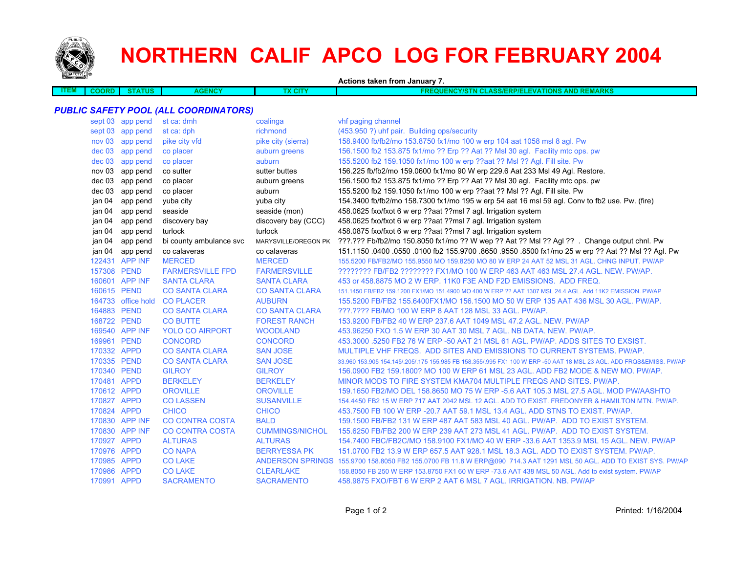

## **NORTHERN CALIF APCO LOG FOR FEBRUARY 2004**

**Actions taken from January 7.**

| COORD | <b>TUS</b> | мы<br>$\sim$ | Y Ch. | <b>ASS/ERP/EL</b><br>ANP<br>---<br>'ATIONS A<br>- -<br>⊧ווס<br>$\bm{M}$<br><b>TUREMARAL</b><br>11-21 IV<br>. .<br>. |
|-------|------------|--------------|-------|---------------------------------------------------------------------------------------------------------------------|
|       |            |              |       |                                                                                                                     |

## *PUBLIC SAFETY POOL (ALL COORDINATORS)*

|             | sept 03 app pend   | st ca: dmh              | coalinga               | whf paging channel                                                                                                   |
|-------------|--------------------|-------------------------|------------------------|----------------------------------------------------------------------------------------------------------------------|
|             | sept 03 app pend   | st ca: dph              | richmond               | (453.950 ?) uhf pair. Building ops/security                                                                          |
| nov 03      | app pend           | pike city vfd           | pike city (sierra)     | 158.9400 fb/fb2/mo 153.8750 fx1/mo 100 w erp 104 aat 1058 msl 8 agl. Pw                                              |
| $dec$ 03    | app pend           | co placer               | auburn greens          | 156.1500 fb2 153.875 fx1/mo ?? Erp ?? Aat ?? MsI 30 agl. Facility mtc ops. pw                                        |
| dec 03      | app pend           | co placer               | auburn                 | 155.5200 fb2 159.1050 fx1/mo 100 w erp ??aat ?? Msl ?? Agl. Fill site. Pw                                            |
| nov 03      | app pend           | co sutter               | sutter buttes          | 156.225 fb/fb2/mo 159.0600 fx1/mo 90 W erp 229.6 Aat 233 Msl 49 Agl. Restore.                                        |
| dec 03      | app pend           | co placer               | auburn greens          | 156.1500 fb2 153.875 fx1/mo ?? Erp ?? Aat ?? Msl 30 agl. Facility mtc ops. pw                                        |
| dec 03      | app pend           | co placer               | auburn                 | 155.5200 fb2 159.1050 fx1/mo 100 w erp ??aat ?? Msl ?? Agl. Fill site. Pw                                            |
| jan 04      | app pend           | yuba city               | yuba city              | 154.3400 fb/fb2/mo 158.7300 fx1/mo 195 w erp 54 aat 16 msl 59 agl. Conv to fb2 use. Pw. (fire)                       |
| jan 04      | app pend           | seaside                 | seaside (mon)          | 458.0625 fxo/fxot 6 w erp ??aat ??msl 7 agl. Irrigation system                                                       |
| jan 04      | app pend           | discovery bay           | discovery bay (CCC)    | 458.0625 fxo/fxot 6 w erp ??aat ??msl 7 agl. Irrigation system                                                       |
| jan 04      | app pend           | turlock                 | turlock                | 458.0875 fxo/fxot 6 w erp ??aat ??msl 7 agl. Irrigation system                                                       |
| jan 04      | app pend           | bi county ambulance svc | MARYSVILLE/OREGON PK   | ???.??? Fb/fb2/mo 150.8050 fx1/mo ?? W wep ?? Aat ?? Msl ?? Agl ?? . Change output chnl. Pw                          |
| jan 04      | app pend           | co calaveras            | co calaveras           | 151.1150 .0400 .0550 .0100 fb2 155.9700 .8650 .9550 .8500 fx1/mo 25 w erp ?? Aat ?? Msl ?? Agl. Pw                   |
|             | 122431 APP INF     | <b>MERCED</b>           | <b>MERCED</b>          | 155,5200 FB/FB2/MO 155,9550 MO 159,8250 MO 80 W ERP 24 AAT 52 MSL 31 AGL, CHNG INPUT, PW/AP                          |
| 157308 PEND |                    | <b>FARMERSVILLE FPD</b> | <b>FARMERSVILLE</b>    | ???????? FB/FB2 ???????? FX1/MO 100 W ERP 463 AAT 463 MSL 27.4 AGL. NEW. PW/AP.                                      |
|             | 160601 APP INF     | <b>SANTA CLARA</b>      | <b>SANTA CLARA</b>     | 453 or 458,8875 MO 2 W ERP, 11K0 F3E AND F2D EMISSIONS. ADD FREQ.                                                    |
| 160615 PEND |                    | <b>CO SANTA CLARA</b>   | <b>CO SANTA CLARA</b>  | 151.1450 FB/FB2 159.1200 FX1/MO 151.4900 MO 400 W ERP ?? AAT 1307 MSL 24.4 AGL. Add 11K2 EMISSION. PW/AP             |
|             | 164733 office hold | <b>CO PLACER</b>        | <b>AUBURN</b>          | 155.5200 FB/FB2 155.6400FX1/MO 156.1500 MO 50 W ERP 135 AAT 436 MSL 30 AGL. PW/AP.                                   |
| 164883 PEND |                    | <b>CO SANTA CLARA</b>   | <b>CO SANTA CLARA</b>  | ???.???? FB/MO 100 W ERP 8 AAT 128 MSL 33 AGL, PW/AP.                                                                |
| 168722 PEND |                    | <b>CO BUTTE</b>         | <b>FOREST RANCH</b>    | 153,9200 FB/FB2 40 W ERP 237.6 AAT 1049 MSL 47.2 AGL, NEW, PW/AP                                                     |
|             | 169540 APP INF     | <b>YOLO CO AIRPORT</b>  | <b>WOODLAND</b>        | 453,96250 FXO 1.5 W ERP 30 AAT 30 MSL 7 AGL, NB DATA, NEW, PW/AP.                                                    |
| 169961 PEND |                    | <b>CONCORD</b>          | <b>CONCORD</b>         | 453,3000 .5250 FB2 76 W ERP -50 AAT 21 MSL 61 AGL, PW/AP, ADDS SITES TO EXSIST.                                      |
| 170332 APPD |                    | <b>CO SANTA CLARA</b>   | <b>SAN JOSE</b>        | MULTIPLE VHF FREQS. ADD SITES AND EMISSIONS TO CURRENT SYSTEMS, PW/AP.                                               |
| 170335 PEND |                    | <b>CO SANTA CLARA</b>   | <b>SAN JOSE</b>        | 33,960 153,905 154,145/.205/.175 155,985 FB 158,355/.995 FX1 100 W ERP -50 AAT 18 MSL 23 AGL, ADD FRQS&EMISS, PW/AP  |
| 170340 PEND |                    | <b>GILROY</b>           | <b>GILROY</b>          | 156.0900 FB2 159.1800? MO 100 W ERP 61 MSL 23 AGL. ADD FB2 MODE & NEW MO. PW/AP.                                     |
| 170481 APPD |                    | <b>BERKELEY</b>         | <b>BERKELEY</b>        | MINOR MODS TO FIRE SYSTEM KMA704 MULTIPLE FREQS AND SITES. PW/AP.                                                    |
| 170612 APPD |                    | <b>OROVILLE</b>         | <b>OROVILLE</b>        | 159.1650 FB2/MO DEL 158.8650 MO 75 W ERP -5.6 AAT 105.3 MSL 27.5 AGL. MOD PW/AASHTO                                  |
| 170827 APPD |                    | <b>CO LASSEN</b>        | <b>SUSANVILLE</b>      | 154.4450 FB2 15 W ERP 717 AAT 2042 MSL 12 AGL. ADD TO EXIST. FREDONYER & HAMILTON MTN. PW/AP.                        |
| 170824 APPD |                    | <b>CHICO</b>            | <b>CHICO</b>           | 453.7500 FB 100 W ERP - 20.7 AAT 59.1 MSL 13.4 AGL, ADD STNS TO EXIST, PW/AP.                                        |
|             | 170830 APP INF     | <b>CO CONTRA COSTA</b>  | <b>BALD</b>            | 159.1500 FB/FB2 131 W ERP 487 AAT 583 MSL 40 AGL. PW/AP. ADD TO EXIST SYSTEM.                                        |
|             | 170830 APP INF     | <b>CO CONTRA COSTA</b>  | <b>CUMMINGS/NICHOL</b> | 155,6250 FB/FB2 200 W ERP 239 AAT 273 MSL 41 AGL, PW/AP. ADD TO EXIST SYSTEM.                                        |
| 170927 APPD |                    | <b>ALTURAS</b>          | <b>ALTURAS</b>         | 154.7400 FBC/FB2C/MO 158.9100 FX1/MO 40 W ERP -33.6 AAT 1353.9 MSL 15 AGL. NEW. PW/AP                                |
| 170976 APPD |                    | <b>CO NAPA</b>          | <b>BERRYESSA PK</b>    | 151.0700 FB2 13.9 W ERP 657.5 AAT 928.1 MSL 18.3 AGL. ADD TO EXIST SYSTEM. PW/AP.                                    |
| 170985 APPD |                    | <b>CO LAKE</b>          |                        | ANDERSON SPRINGS 155.9700 158.8050 FB2 155.0700 FB 11.8 W ERP@090 714.3 AAT 1291 MSL 50 AGL. ADD TO EXIST SYS. PW/AP |
| 170986      | <b>APPD</b>        | <b>CO LAKE</b>          | <b>CLEARLAKE</b>       | 158.8050 FB 250 W ERP 153.8750 FX1 60 W ERP -73.6 AAT 438 MSL 50 AGL. Add to exist system. PW/AP                     |
| 170991 APPD |                    | <b>SACRAMENTO</b>       | <b>SACRAMENTO</b>      | 458.9875 FXO/FBT 6 W ERP 2 AAT 6 MSL 7 AGL. IRRIGATION, NB, PW/AP                                                    |